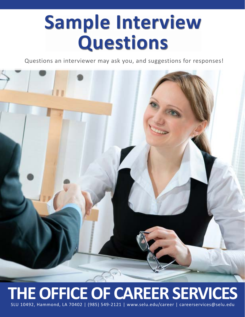## **Sample Interview Questions**

Questions an interviewer may ask you, and suggestions for responses!



### **THE OFFICE OF CAREER SERVICES** SLU 10492, Hammond, LA 70402 | (985) 549-2121 | www.selu.edu/career | careerservices@selu.edu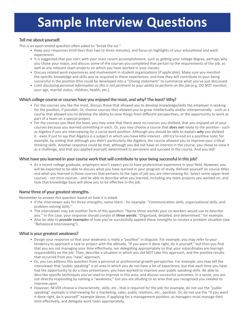### **Sample Interview Questions**

#### **Tell me about yourself.**

This is an open-ended question often asked to "break the ice."

- Keep your responses brief (less than two to three minutes), and focus on highlights of your educational and work experiences
- It is suggested that you start with your most recent accomplishment, such as getting your college degree, perhaps why you chose your major, and discuss some of the courses you completed that pertain to the requirements of the job, as well as any relevant team projects on which you have worked in your classes.
- Discuss related work experiences and involvement in student organizations (if applicable). Make sure you mention the specific knowledge and skills you've acquired in these experiences, and how they will contribute to your being successful in the position (this could be developed into a "closing statement" to summarize what you've just discussed.
- *• Limit disclosing personal information as this is not pertinent to your ability to perform on the job* (e.g. DO NOT mention your age, marital status, children, health, etc.).

#### **Which college course or courses have you enjoyed the most, and why? The least? Why?**

- For the courses you like the most, discuss those that allowed you to develop knowledge/skills the employer is seeking for the position, if possible. Or, choose courses that allowed you to grow intellectually and/or interpersonally - such as a course that allowed you to develop the ability to view things from different perspectives, or the opportunity to work as part of a team on a special project.
- For the courses you liked the least, you may state that there were no courses you disliked; that you enjoyed all of your courses because you learned something in each. Or, you may choose a course that *does not* relate to the position - such as Algebra if you are interviewing for a social work position. Although you should be able to explain *why* you disliked it - even if just to say that Algebra is a subject in which you have little interest - still try to end on a postitive note; for example, by stating that although you didn't particularly *like* Algebra, the course allowed you to improve your critical thinking skills. Another response could be that, although you did not have an interest in the course, you chose to view it as a challenge, and that you applied yourself, determined to persevere and succeed in the course. And you did!

#### **What have you learned in your course work that will contribute to your being successful in this job?**

• As a recent college graduate, employers won't expect you to have professional experience in your field. However, you will be expected to be able to discuss what you have learned in your program of study. Refresh yourself on course titles and what you learned in those courses that pertains to the type of job you are interviewing for. Select some upper level courses - not intro courses - and be able to describe what you learned, including any team projects you worked on, and how that knowledge base will allow you to be effective in the job.

#### **Name three of your greatest strengths.**

Remember to answer this question based on how it is asked.

- If the interviewer asks for three strengths, name them for example: "Communication skills, organizational skills, and problem-solving skills."
- The interviewer may ask another form of this question: "Name three workds your co-workers would use to describe you." In this case, your response should consist of *three words:* "Organized, detailed, and determined." for example.
- Also be able to *provide examples* of how you've successfully applied these strengths to resolve a problem situation (see "Behavioral Interviewing").

#### **What is your greatest weakness?**

- Design your response so that your weakness is really a "positive" in disguise. For example, you may refer to your tendency to approach a task or project with the attitude, "If you want it done right, do it yourself," but then you find that you are not managing your time effectively, nor delegating appropriately so that your subordinates are learnign responsibility on the job. Then, describe a situation in which you did NOT take this approach, and the positive results that occurred from you "new" approach.
- Or, you can address this question from a personal or professional growth perspective. For example, you may tell the interviewer that "public speaking" is an area in which you do not have a lot of experience, but that each time you have had the opportunity to do a class presentaion, you have worked to improve your public speaking skills. Be able to describe specific techniques you've used to improve in this area, and discuss successful outcomes. In a sense, you are not directly responding by naming a "weakness;" but you are alluding to an area that you recognized you needed to improve upon.
- However, NEVER choose a characteristic, skills, etc., that is required for the job; for example, do not use the "public speaking" example is interviewing for a marketing, sales, public relations, etc., position. Or, do not use the "If you want it done right, do it yourself" example above, if applying for a management position, as managers must manage their time effectively, and delegate work tasks appropriately.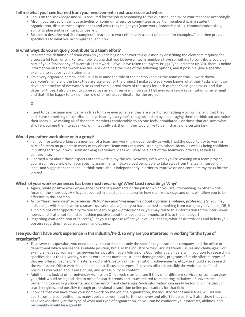#### **Tell me what you have learned from your involvement in extracurricular activities.**

- Focus on the knowledge and skills required for the job in responding to this question, and tailor your response accordingly.
- Also, if you served on campus activities or community service committees as part of membership in a student organization, discuss these experiences and what they taught you (team work, leadership skills, communication skills, ability to plan and organize activities, etc.)
- Be able to describe real-life examples: "I learned to work effectively as part of a team, for example..." and then provide specifics as to what you accomplished, and how!

#### **In what ways do you uniquely contribute to a team effort?**

- Research the definition of team work so you can begin to answer this question by describing the elements required for a successful team effort. For example, stating that you believe all team members have something to contribute could be part of your "philosophy of successful teamwork." If you have taken the Myers-Briggs Type Indicator (MBTI), there is online information on the teamwork abilities. Answer along the lines of the following options, and if possible, give a specific example to support your statements:
- I'm a very organized person, and I usually assume the role of the person keeping the team on track. I write down everyone's name and the tasks they are assigned for the project. I make sure everyone knows what their tasks are. I also develop a timeline of everyone's tasks and even a breakdown of the steps for each member's assigned tasks, and due dates for those. I also try not to come across as a drill sergeant, however! I let everyone know organization is my strength and that I'll be happy to take on the role of timeline coordinator for the project.

#### **Or**

• I tend to be the team member who tries to make everyone feel they are a part of something worthwhile, and that they each have something to contribute. I love hearing everyone's thoughts and enjoy encouraging them to think out and voice their ideas. I like making all of the team members comfortable so no one feels intimidated. For those that are somewhat shy, I encourage them to speak up, or I'll tactfully ask them if they would like to be in charge of a certain task.

#### **Would you rather work alone or in a group?**

- I am comfortable working as a member of a team and working independently as well. I had the opportunity to work as part of a team on projects in many of my classes. Team work requires listening to others' ideas, as well as being confident in putting forth your own. Brainstorming everyone's ideas will likely be a part of the teamwork process, as well as compromise.
- I learned a lot about those aspects of teamwork in my classes. However, even when you're working on a team project, you're still responsible for your specific assignments. I also valued being able to take away from the team interaction ideas and suggestions that I could think more about independently in order to improve on and complete my tasks for the project.

#### **Which of your work experiences has been most rewarding? Why? Least rewarding? Why?**

- Again, relate positive work experiences to the requirements of the job for which you are interviewing. In other words, focus on the knowledge/skills you acquired in a past job and descrive how such knowledge and skills will allow you to be effective in this position.
- As for "least rewarding" experiences, *NEVER say anything negative about a former employer, professor, etc.* You may indicate (as with the "favorite courses" question above) that you have learned something from each job you've held, OR, if a job did not offer opportunity for you to learn or grow professionally, you may relate this information to the interviewer; however, still attempt to find something positive about the job, and communicate this to the employer!
- Regarding your definition of "success," let your response reflect your values that is, what basic attitudes and beliefs you possess regarding life, carer, youself, and others.

#### **I see you don't have work experience in this industry/field, so why are you interested in working for this type of organization?**

- To answer this question, you need to have researched not only the specific organization or company, and the office or department which houses the available position, but also the industry or field, and its trends, issues and challenges. For example, let's say you are interviewing for a position as an Admissions Counselor at a university. In addition to researching specifics about the university, such as enrollment numbers, student demographics, programs of study offered, types of degrees offered (bachelor's, master's, doctoral?), history of the institution, achievements, etc., you should also research the Admissions Office web site and be able to discuss the types of services offered, possibly the web site itself and positives you noted about ease of use, and accessibility to content.
- Additionally, look at other university Admission Office web sites and see if they offer different services, or some services you think would be a good idea to offer. Research trends and issues related to marketing initiatives of universities pertaining to enrolling students, and other enrollment challenges. Such information can easily be found online through search engines, and possibly through professional association online publications for that field.
- Showing that you have done your homework on the job, the organization, the industry trends and issues, will set you apart from the competition, as many applicants won't put forth the energy and effort to do so. It will also show that you have looked closely at this type of work and type of organization, so you can be confident your interests, abilities, and personality would be a good fit.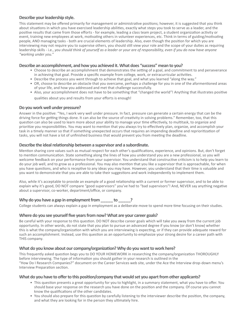#### **Describe your leadership style.**

This statement may be offered primarily for management or administrative positions; however, it is suggested that you think about situations in which you have exercised leadership abilities, exactly what steps you took to serve as a leader, and the positive results that came from those efforts - for example, leading a class team project, a student organization activity or event, training new employees at work, motivating others in volunteer experiences, etc. Think in terms of guiding/motivating people, AND managing tasks - both are crucial elements of leadership. Also, even though the position for which you are interviewing may not require you to supervise others, you should still view your role and the scope of your duties as requiring leadership skills - i.e., *you should think of yourself as a leader or your are of responsibility, even if you do now have anyone "working under you."*

#### **Describe an accomplishment, and how you achieved it. What does "success" mean to you?**

- Choose to describe an accomplishment that demonstrates the setting of a goal, and commitment to and perseverance in achieving that goal. Provide a specific example from college, work, or extracurricular activities.
- Describe the process you went through to achieve that goal, and what you learned "along the way."
- OR, choose to describe an obstacle that you overcame, perhaps a challenge for you in one of the aformentioned areas of your life, and how you addressed and met that challenge successfully.
- Also, your accomplishment does not have to be something that "changed the world"! Anything that illustrates positive qualities about you and results from your efforts is enough!

#### **Do you work well under pressure?**

Answer in the positive: "Yes, I work very well under pressure. In fact, pressure can generate a certain energy that can be the driving force for getting things done. It can also be the source of creativity in solving problems." Remember, too, that this question can also be used to learn more about your ability to manage your time effectively, to multitask, to organize and prioritize you responsibilities. You may want to mention that you always try to effectively plan, organize, and accomplish your task in a timely manner so that if something unexpected occurs that requires an impending deadline and reprioritization of tasks, you will not have a lot of unfinished business that would prevent you from meeting the deadline.

#### **Describe the ideal relationship between a supervisor and a subordinate.**

Mention sharing core values such as mutual respect for each other's qualifications, experience, and opinions. But, don't forget to mention communication. State something along the lines of how you understand you are a new professional, so you will welcome feedback on your performance from your supervisor. You understand that constructive criticism is to help you learn to do your job well, and to grow as a professional. You may also mention that you like a supervisor that is approachable, for when you have questions, and who is receptive to any ideas you may have. However, you understand that their time is valuable and you want to demonstrate that you are able to take their suggestions and work independently to implement them.

Also, while it's acceptable to provide an example of a good relationship with a current or former supervisor, and to be able to explain why it's good, DO NOT compare "good supervisors" you've had to "bad supervisors"! And, NEVER say anything negative about a supervisor, co-worker, department/office, or company.

#### Why do you have a gap in employment from to  $\blacksquare$ ?

College students can always explain a gap in employment as a deliberate move to spend more time focusing on their studies.

#### **Where do you see yourself five years from now? What are your career goals?**

Be careful with your response to this question. DO NOT describe career goals which will take you away from the current job opportunity. In other words, do not state that you plan to pursue an advanced degree if you know (or don't know) whether this is what the company/organization with which you are interviewing is expecting, or if they can provide adequate reward for such an accomplishment. Instead, use this question as an opportunity to emphasize your strong desire for a career path with THIS company.

#### **What do you know about our company/organization? Why do you want to work here?**

This frequently asked question begs you to DO YOUR HOMEWORK in researching the company/organization THOROUGHLY before interviewing. The type of information you should gather in your research is outlined in the "How Do I Research Companies?" document on the Career Services web site, under the Ace the Interview drop-down menu's Interview Preparation section.

#### **What do you have to offer to this position/company that would set you apart from other applicants?**

- This question presents a great opportunity for you to highlight, in a summary statement, what you have to offer. You should base your response on the research you have done on the position and the company. Of course you cannot know the qualifications of the other candidates.
- You should also prepare for this question by carefully listening to the interviewer describe the position, the company, and what they are looking for in the person they ultimately hire.